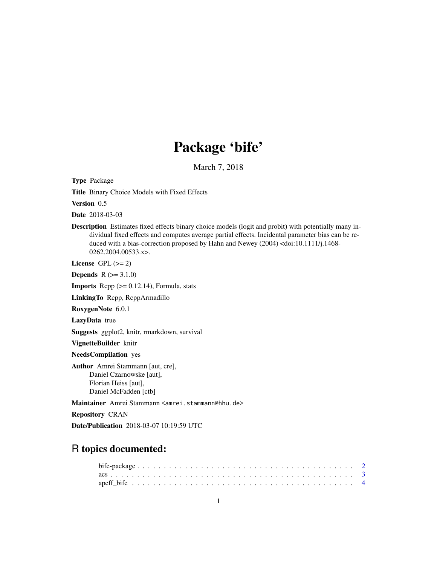# Package 'bife'

March 7, 2018

Type Package

Title Binary Choice Models with Fixed Effects

Version 0.5

Date 2018-03-03

Description Estimates fixed effects binary choice models (logit and probit) with potentially many individual fixed effects and computes average partial effects. Incidental parameter bias can be reduced with a bias-correction proposed by Hahn and Newey (2004) <doi:10.1111/j.1468-0262.2004.00533.x>.

License GPL  $(>= 2)$ 

**Depends**  $R (= 3.1.0)$ 

**Imports** Rcpp  $(>= 0.12.14)$ , Formula, stats

LinkingTo Rcpp, RcppArmadillo

RoxygenNote 6.0.1

LazyData true

Suggests ggplot2, knitr, rmarkdown, survival

VignetteBuilder knitr

NeedsCompilation yes

Author Amrei Stammann [aut, cre], Daniel Czarnowske [aut], Florian Heiss [aut], Daniel McFadden [ctb]

Maintainer Amrei Stammann <amrei.stammann@hhu.de>

Repository CRAN

Date/Publication 2018-03-07 10:19:59 UTC

# R topics documented: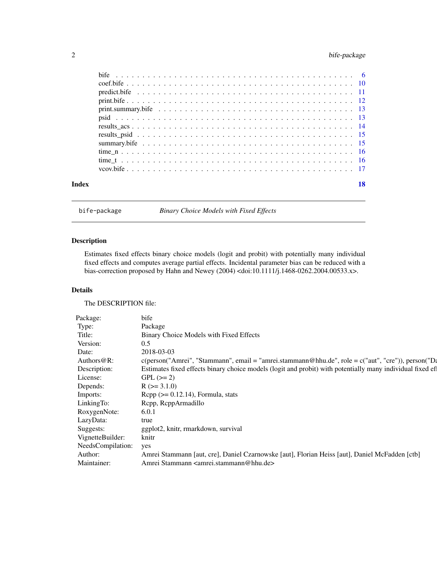# <span id="page-1-0"></span>2 bife-package

| Index | 18 |
|-------|----|
|       |    |
|       |    |
|       |    |
|       |    |
|       |    |
|       |    |
|       |    |
|       |    |
|       |    |
|       |    |
|       |    |
|       |    |

bife-package *Binary Choice Models with Fixed Effects*

# Description

Estimates fixed effects binary choice models (logit and probit) with potentially many individual fixed effects and computes average partial effects. Incidental parameter bias can be reduced with a bias-correction proposed by Hahn and Newey (2004) <doi:10.1111/j.1468-0262.2004.00533.x>.

# Details

The DESCRIPTION file:

| Package:              | bife                                                                                                      |
|-----------------------|-----------------------------------------------------------------------------------------------------------|
| Type:                 | Package                                                                                                   |
| Title:                | Binary Choice Models with Fixed Effects                                                                   |
| Version:              | 0.5                                                                                                       |
| Date:                 | 2018-03-03                                                                                                |
| Authors@R:            | c(person("Amrei", "Stammann", email = "amrei.stammann@hhu.de", role = c("aut", "cre")), person("Da        |
| Description:          | Estimates fixed effects binary choice models (logit and probit) with potentially many individual fixed ef |
| License:              | $GPL (= 2)$                                                                                               |
| Depends:              | $R$ ( $> = 3.1.0$ )                                                                                       |
| Imports:              | $\text{Rcpp} (> = 0.12.14)$ , Formula, stats                                                              |
| LinkingTo:            | Rcpp, RcppArmadillo                                                                                       |
| RoxygenNote:          | 6.0.1                                                                                                     |
| LazyData:             | true                                                                                                      |
| Suggests:             | ggplot2, knitr, rmarkdown, survival                                                                       |
| VignetteBuilder:      | knitr                                                                                                     |
| NeedsCompilation: yes |                                                                                                           |
| Author:               | Amrei Stammann [aut, cre], Daniel Czarnowske [aut], Florian Heiss [aut], Daniel McFadden [ctb]            |
| Maintainer:           | Amrei Stammann <amrei.stammann@hhu.de></amrei.stammann@hhu.de>                                            |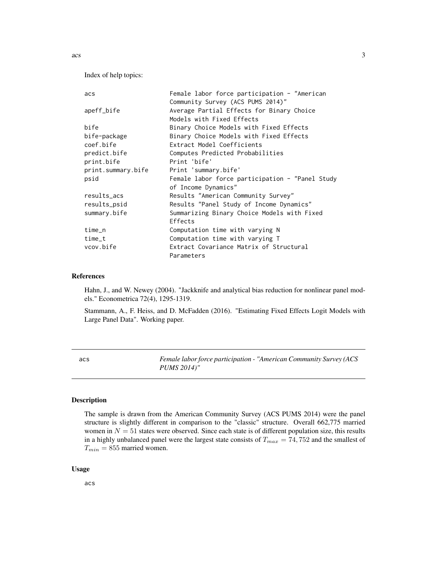<span id="page-2-0"></span>Index of help topics:

| acs                | Female labor force participation - "American    |
|--------------------|-------------------------------------------------|
|                    | Community Survey (ACS PUMS 2014)"               |
| apeff_bife         | Average Partial Effects for Binary Choice       |
|                    | Models with Fixed Effects                       |
| bife               | Binary Choice Models with Fixed Effects         |
| bife-package       | Binary Choice Models with Fixed Effects         |
| coef.bife          | Extract Model Coefficients                      |
| predict.bife       | Computes Predicted Probabilities                |
| print.bife         | Print 'bife'                                    |
| print.summary.bife | Print 'summary.bife'                            |
| psid               | Female labor force participation - "Panel Study |
|                    | of Income Dynamics"                             |
| results_acs        | Results "American Community Survey"             |
| results_psid       | Results "Panel Study of Income Dynamics"        |
| summary.bife       | Summarizing Binary Choice Models with Fixed     |
|                    | Effects                                         |
| $time_n$           | Computation time with varying N                 |
| $time_t$           | Computation time with varying T                 |
| ycov.bife          | Extract Covariance Matrix of Structural         |
|                    | Parameters                                      |

#### References

Hahn, J., and W. Newey (2004). "Jackknife and analytical bias reduction for nonlinear panel models." Econometrica 72(4), 1295-1319.

Stammann, A., F. Heiss, and D. McFadden (2016). "Estimating Fixed Effects Logit Models with Large Panel Data". Working paper.

acs *Female labor force participation - "American Community Survey (ACS PUMS 2014)"*

# Description

The sample is drawn from the American Community Survey (ACS PUMS 2014) were the panel structure is slightly different in comparison to the "classic" structure. Overall 662,775 married women in  $N = 51$  states were observed. Since each state is of different population size, this results in a highly unbalanced panel were the largest state consists of  $T_{max} = 74,752$  and the smallest of  $T_{min} = 855$  married women.

#### Usage

acs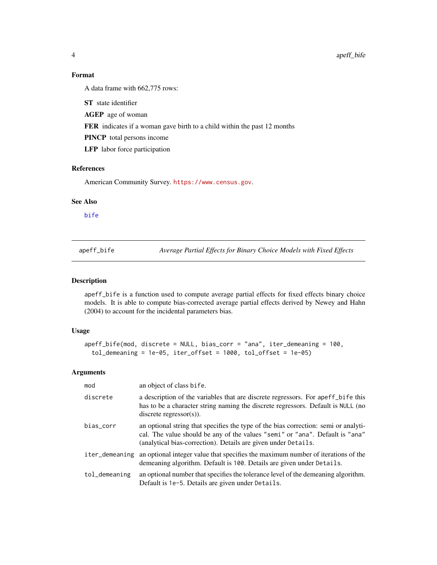# Format

A data frame with 662,775 rows:

ST state identifier

AGEP age of woman

FER indicates if a woman gave birth to a child within the past 12 months

PINCP total persons income

LFP labor force participation

# References

American Community Survey. <https://www.census.gov>.

#### See Also

[bife](#page-5-1)

apeff\_bife *Average Partial Effects for Binary Choice Models with Fixed Effects*

#### Description

apeff\_bife is a function used to compute average partial effects for fixed effects binary choice models. It is able to compute bias-corrected average partial effects derived by Newey and Hahn (2004) to account for the incidental parameters bias.

# Usage

```
apeff_bife(mod, discrete = NULL, bias_corr = "ana", iter_demeaning = 100,
  tol_demeaning = 1e-05, iter_offset = 1000, tol_offset = 1e-05)
```
# Arguments

| mod            | an object of class bife.                                                                                                                                                                                                              |
|----------------|---------------------------------------------------------------------------------------------------------------------------------------------------------------------------------------------------------------------------------------|
| discrete       | a description of the variables that are discrete regressors. For apert bife this<br>has to be a character string naming the discrete regressors. Default is NULL (no<br>$discrete$ regressor $(s)$ ).                                 |
| bias_corr      | an optional string that specifies the type of the bias correction: semi or analyti-<br>cal. The value should be any of the values "semi" or "ana". Default is "ana"<br>(analytical bias-correction). Details are given under Details. |
| iter_demeaning | an optional integer value that specifies the maximum number of iterations of the<br>demeaning algorithm. Default is 100. Details are given under Details.                                                                             |
| tol_demeaning  | an optional number that specifies the tolerance level of the demeaning algorithm.<br>Default is 1e-5. Details are given under Details.                                                                                                |

<span id="page-3-0"></span>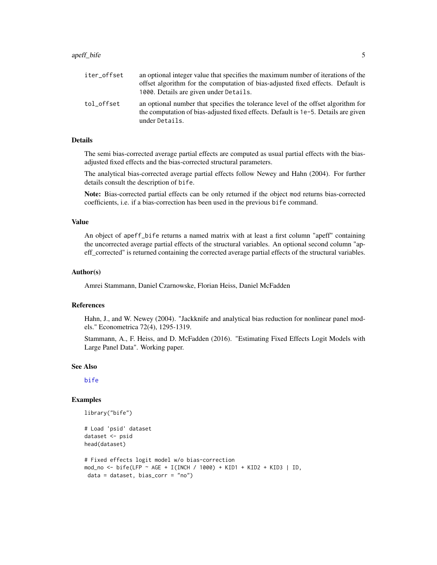<span id="page-4-0"></span>

| iter offset | an optional integer value that specifies the maximum number of iterations of the<br>offset algorithm for the computation of bias-adjusted fixed effects. Default is<br>1000. Details are given under Details. |
|-------------|---------------------------------------------------------------------------------------------------------------------------------------------------------------------------------------------------------------|
| tol offset  | an optional number that specifies the tolerance level of the offset algorithm for<br>the computation of bias-adjusted fixed effects. Default is 1e-5. Details are given<br>under Details.                     |

# **Details**

The semi bias-corrected average partial effects are computed as usual partial effects with the biasadjusted fixed effects and the bias-corrected structural parameters.

The analytical bias-corrected average partial effects follow Newey and Hahn (2004). For further details consult the description of bife.

Note: Bias-corrected partial effects can be only returned if the object mod returns bias-corrected coefficients, i.e. if a bias-correction has been used in the previous bife command.

#### Value

An object of apeff\_bife returns a named matrix with at least a first column "apeff" containing the uncorrected average partial effects of the structural variables. An optional second column "apeff corrected" is returned containing the corrected average partial effects of the structural variables.

#### Author(s)

Amrei Stammann, Daniel Czarnowske, Florian Heiss, Daniel McFadden

#### References

Hahn, J., and W. Newey (2004). "Jackknife and analytical bias reduction for nonlinear panel models." Econometrica 72(4), 1295-1319.

Stammann, A., F. Heiss, and D. McFadden (2016). "Estimating Fixed Effects Logit Models with Large Panel Data". Working paper.

#### See Also

[bife](#page-5-1)

#### Examples

```
library("bife")
```

```
# Load 'psid' dataset
dataset <- psid
head(dataset)
# Fixed effects logit model w/o bias-correction
mod_no <- bife(LFP ~ AGE + I(INCH / 1000) + KID1 + KID2 + KID3 | ID,
data = dataset, bias_corr = "no")
```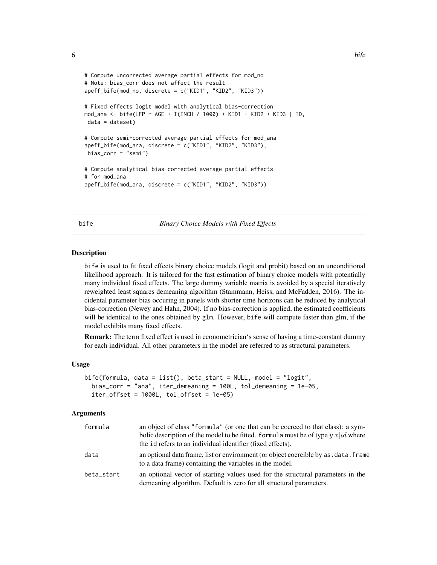```
# Compute uncorrected average partial effects for mod_no
# Note: bias_corr does not affect the result
apeff_bife(mod_no, discrete = c("KID1", "KID2", "KID3"))
# Fixed effects logit model with analytical bias-correction
mod_ana <- bife(LFP ~ AGE + I(INCH / 1000) + KID1 + KID2 + KID3 | ID,
data = dataset)
# Compute semi-corrected average partial effects for mod_ana
apeff_bife(mod_ana, discrete = c("KID1", "KID2", "KID3"),
bias_corr = "semi")
# Compute analytical bias-corrected average partial effects
# for mod_ana
apeff_bife(mod_ana, discrete = c("KID1", "KID2", "KID3"))
```
<span id="page-5-1"></span>bife *Binary Choice Models with Fixed Effects*

#### Description

bife is used to fit fixed effects binary choice models (logit and probit) based on an unconditional likelihood approach. It is tailored for the fast estimation of binary choice models with potentially many individual fixed effects. The large dummy variable matrix is avoided by a special iteratively reweighted least squares demeaning algorithm (Stammann, Heiss, and McFadden, 2016). The incidental parameter bias occuring in panels with shorter time horizons can be reduced by analytical bias-correction (Newey and Hahn, 2004). If no bias-correction is applied, the estimated coefficients will be identical to the ones obtained by glm. However, bife will compute faster than glm, if the model exhibits many fixed effects.

Remark: The term fixed effect is used in econometrician's sense of having a time-constant dummy for each individual. All other parameters in the model are referred to as structural parameters.

#### Usage

```
bife(formula, data = list(), beta_start = NULL, model = "logit",
  bias_corr = "ana", iter_demeaning = 100L, tol_demeaning = 1e-05,
  iter_offset = 1000L, tol_offset = 1e-05)
```
#### Arguments

| formula    | an object of class "formula" (or one that can be coerced to that class): a sym-<br>bolic description of the model to be fitted. formula must be of type $y$ x  id where<br>the id refers to an individual identifier (fixed effects). |
|------------|---------------------------------------------------------------------------------------------------------------------------------------------------------------------------------------------------------------------------------------|
| data       | an optional data frame, list or environment (or object coercible by as . data. frame<br>to a data frame) containing the variables in the model.                                                                                       |
| beta_start | an optional vector of starting values used for the structural parameters in the<br>demeaning algorithm. Default is zero for all structural parameters.                                                                                |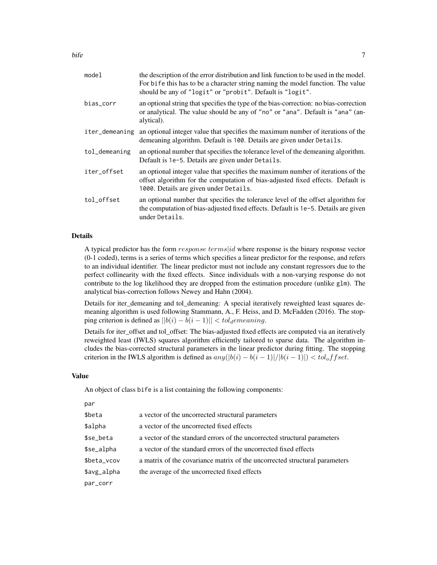| model          | the description of the error distribution and link function to be used in the model.<br>For bife this has to be a character string naming the model function. The value<br>should be any of "logit" or "probit". Default is "logit". |
|----------------|--------------------------------------------------------------------------------------------------------------------------------------------------------------------------------------------------------------------------------------|
| bias_corr      | an optional string that specifies the type of the bias-correction: no bias-correction<br>or analytical. The value should be any of "no" or "ana". Default is "ana" (an-<br>alytical).                                                |
| iter_demeaning | an optional integer value that specifies the maximum number of iterations of the<br>demeaning algorithm. Default is 100. Details are given under Details.                                                                            |
| tol_demeaning  | an optional number that specifies the tolerance level of the demeaning algorithm.<br>Default is 1e-5. Details are given under Details.                                                                                               |
| iter_offset    | an optional integer value that specifies the maximum number of iterations of the<br>offset algorithm for the computation of bias-adjusted fixed effects. Default is<br>1000. Details are given under Details.                        |
| tol_offset     | an optional number that specifies the tolerance level of the offset algorithm for<br>the computation of bias-adjusted fixed effects. Default is 1e-5. Details are given<br>under Details.                                            |
|                |                                                                                                                                                                                                                                      |

# Details

A typical predictor has the form response terms|id where response is the binary response vector (0-1 coded), terms is a series of terms which specifies a linear predictor for the response, and refers to an individual identifier. The linear predictor must not include any constant regressors due to the perfect collinearity with the fixed effects. Since individuals with a non-varying response do not contribute to the log likelihood they are dropped from the estimation procedure (unlike glm). The analytical bias-correction follows Newey and Hahn (2004).

Details for iter demeaning and tol demeaning: A special iteratively reweighted least squares demeaning algorithm is used following Stammann, A., F. Heiss, and D. McFadden (2016). The stopping criterion is defined as  $||b(i) - b(i - 1)|| < tol_demeaning$ .

Details for iter\_offset and tol\_offset: The bias-adjusted fixed effects are computed via an iteratively reweighted least (IWLS) squares algorithm efficiently tailored to sparse data. The algorithm includes the bias-corrected structural parameters in the linear predictor during fitting. The stopping criterion in the IWLS algorithm is defined as  $any(|b(i) - b(i - 1)|/|b(i - 1)|) < tol_offset.$ 

#### Value

An object of class bife is a list containing the following components:

| par         |                                                                            |
|-------------|----------------------------------------------------------------------------|
| \$beta      | a vector of the uncorrected structural parameters                          |
| \$alpha     | a vector of the uncorrected fixed effects                                  |
| \$se_beta   | a vector of the standard errors of the uncorrected structural parameters   |
| \$se_alpha  | a vector of the standard errors of the uncorrected fixed effects           |
| \$beta_vcov | a matrix of the covariance matrix of the uncorrected structural parameters |
| \$avg_alpha | the average of the uncorrected fixed effects                               |
| par_corr    |                                                                            |
|             |                                                                            |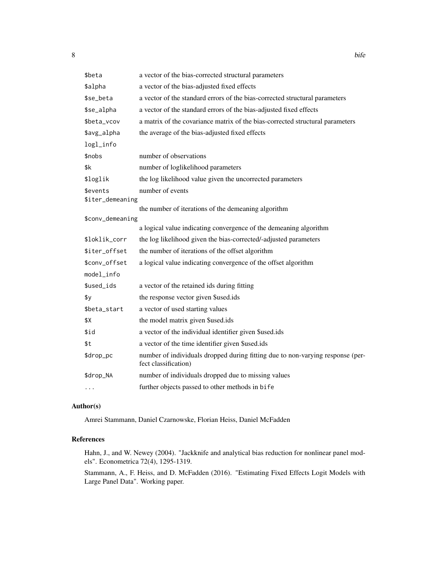| \$beta           | a vector of the bias-corrected structural parameters                                                   |
|------------------|--------------------------------------------------------------------------------------------------------|
| \$alpha          | a vector of the bias-adjusted fixed effects                                                            |
| \$se_beta        | a vector of the standard errors of the bias-corrected structural parameters                            |
| \$se_alpha       | a vector of the standard errors of the bias-adjusted fixed effects                                     |
| \$beta_vcov      | a matrix of the covariance matrix of the bias-corrected structural parameters                          |
| \$avg_alpha      | the average of the bias-adjusted fixed effects                                                         |
| logl_info        |                                                                                                        |
| \$nobs           | number of observations                                                                                 |
| \$k              | number of loglikelihood parameters                                                                     |
| \$loglik         | the log likelihood value given the uncorrected parameters                                              |
| \$events         | number of events                                                                                       |
| \$iter_demeaning |                                                                                                        |
| \$conv_demeaning | the number of iterations of the demeaning algorithm                                                    |
|                  | a logical value indicating convergence of the demeaning algorithm                                      |
| \$loklik_corr    | the log likelihood given the bias-corrected/-adjusted parameters                                       |
| \$iter_offset    | the number of iterations of the offset algorithm                                                       |
| \$conv_offset    | a logical value indicating convergence of the offset algorithm                                         |
| model_info       |                                                                                                        |
| \$used_ids       | a vector of the retained ids during fitting                                                            |
| \$у              | the response vector given \$used.ids                                                                   |
| \$beta_start     | a vector of used starting values                                                                       |
| \$Х              | the model matrix given \$used.ids                                                                      |
| \$id             | a vector of the individual identifier given \$used.ids                                                 |
| \$t              | a vector of the time identifier given \$used.ids                                                       |
| \$drop_pc        | number of individuals dropped during fitting due to non-varying response (per-<br>fect classification) |
| \$drop_NA        | number of individuals dropped due to missing values                                                    |
| .                | further objects passed to other methods in bife                                                        |

#### Author(s)

Amrei Stammann, Daniel Czarnowske, Florian Heiss, Daniel McFadden

# References

Hahn, J., and W. Newey (2004). "Jackknife and analytical bias reduction for nonlinear panel models". Econometrica 72(4), 1295-1319.

Stammann, A., F. Heiss, and D. McFadden (2016). "Estimating Fixed Effects Logit Models with Large Panel Data". Working paper.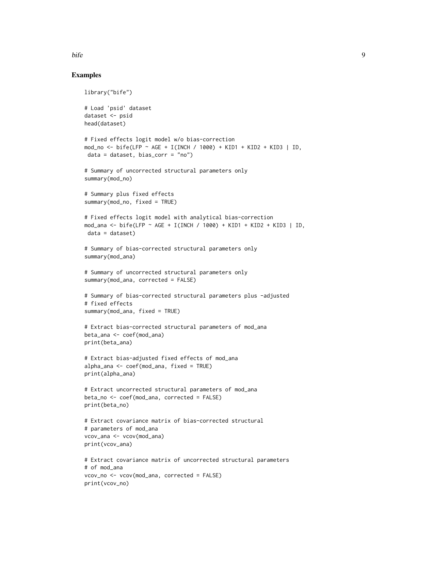#### bife the set of the set of the set of the set of the set of the set of the set of the set of the set of the set of the set of the set of the set of the set of the set of the set of the set of the set of the set of the set

## Examples

```
library("bife")
# Load 'psid' dataset
dataset <- psid
head(dataset)
# Fixed effects logit model w/o bias-correction
mod_no <- bife(LFP ~ AGE + I(INCH / 1000) + KID1 + KID2 + KID3 | ID,
data = dataset, bias_corr = "no")# Summary of uncorrected structural parameters only
summary(mod_no)
# Summary plus fixed effects
summary(mod_no, fixed = TRUE)
# Fixed effects logit model with analytical bias-correction
mod_ana <- bife(LFP ~ AGE + I(INCH / 1000) + KID1 + KID2 + KID3 | ID,
 data = dataset)
# Summary of bias-corrected structural parameters only
summary(mod_ana)
# Summary of uncorrected structural parameters only
summary(mod_ana, corrected = FALSE)
# Summary of bias-corrected structural parameters plus -adjusted
# fixed effects
summary(mod_ana, fixed = TRUE)
# Extract bias-corrected structural parameters of mod_ana
beta_ana <- coef(mod_ana)
print(beta_ana)
# Extract bias-adjusted fixed effects of mod_ana
alpha_ana <- coef(mod_ana, fixed = TRUE)
print(alpha_ana)
# Extract uncorrected structural parameters of mod_ana
beta_no <- coef(mod_ana, corrected = FALSE)
print(beta_no)
# Extract covariance matrix of bias-corrected structural
# parameters of mod_ana
vcov_ana <- vcov(mod_ana)
print(vcov_ana)
# Extract covariance matrix of uncorrected structural parameters
# of mod_ana
vcov_no <- vcov(mod_ana, corrected = FALSE)
print(vcov_no)
```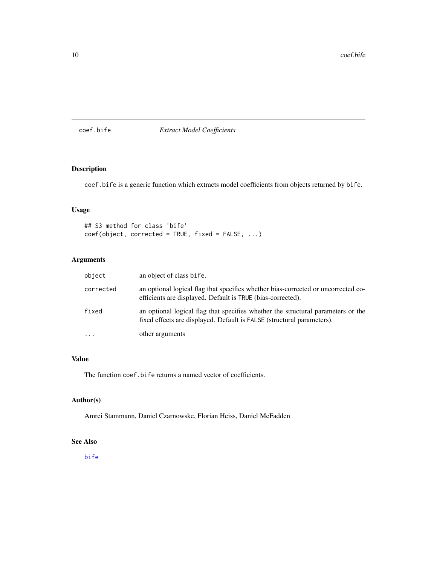<span id="page-9-0"></span>coef.bife *Extract Model Coefficients*

# Description

coef.bife is a generic function which extracts model coefficients from objects returned by bife.

# Usage

```
## S3 method for class 'bife'
coef(object, corrected = TRUE, fixed = FALSE, ...)
```
# Arguments

| object    | an object of class bife.                                                                                                                                   |
|-----------|------------------------------------------------------------------------------------------------------------------------------------------------------------|
| corrected | an optional logical flag that specifies whether bias-corrected or uncorrected co-<br>efficients are displayed. Default is TRUE (bias-corrected).           |
| fixed     | an optional logical flag that specifies whether the structural parameters or the<br>fixed effects are displayed. Default is FALSE (structural parameters). |
| $\ddotsc$ | other arguments                                                                                                                                            |

#### Value

The function coef.bife returns a named vector of coefficients.

### Author(s)

Amrei Stammann, Daniel Czarnowske, Florian Heiss, Daniel McFadden

# See Also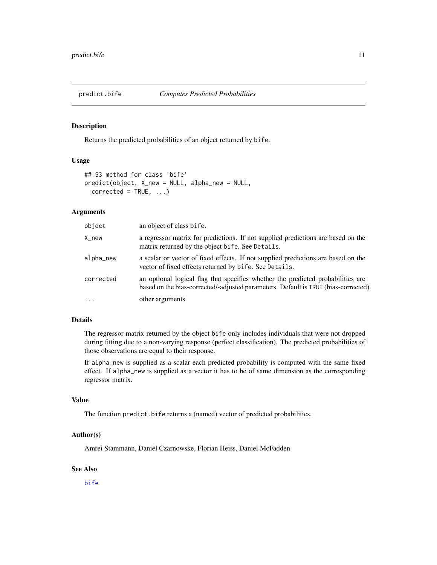<span id="page-10-0"></span>

## Description

Returns the predicted probabilities of an object returned by bife.

# Usage

```
## S3 method for class 'bife'
predict(object, X_new = NULL, alpha_new = NULL,
  corrected = TRUE, ...
```
# Arguments

| object    | an object of class bife.                                                                                                                                               |
|-----------|------------------------------------------------------------------------------------------------------------------------------------------------------------------------|
| X_new     | a regressor matrix for predictions. If not supplied predictions are based on the<br>matrix returned by the object bife. See Details.                                   |
| alpha_new | a scalar or vector of fixed effects. If not supplied predictions are based on the<br>vector of fixed effects returned by bife. See Details.                            |
| corrected | an optional logical flag that specifies whether the predicted probabilities are<br>based on the bias-corrected/-adjusted parameters. Default is TRUE (bias-corrected). |
| $\cdots$  | other arguments                                                                                                                                                        |

#### Details

The regressor matrix returned by the object bife only includes individuals that were not dropped during fitting due to a non-varying response (perfect classification). The predicted probabilities of those observations are equal to their response.

If alpha\_new is supplied as a scalar each predicted probability is computed with the same fixed effect. If alpha\_new is supplied as a vector it has to be of same dimension as the corresponding regressor matrix.

# Value

The function predict.bife returns a (named) vector of predicted probabilities.

# Author(s)

Amrei Stammann, Daniel Czarnowske, Florian Heiss, Daniel McFadden

#### See Also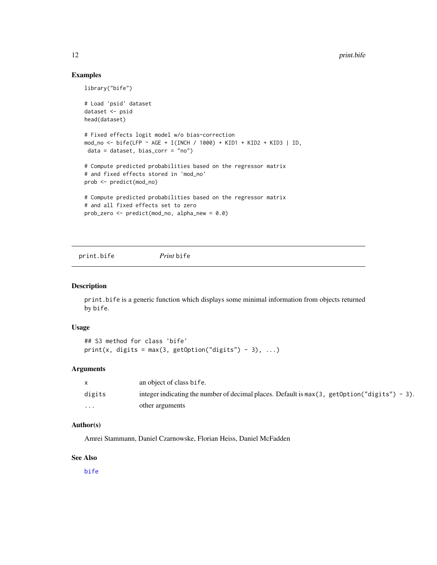#### Examples

```
library("bife")
# Load 'psid' dataset
dataset <- psid
head(dataset)
# Fixed effects logit model w/o bias-correction
mod_no <- bife(LFP ~ AGE + I(INCH / 1000) + KID1 + KID2 + KID3 | ID,
data = dataset, bias_corr = "no")
# Compute predicted probabilities based on the regressor matrix
# and fixed effects stored in 'mod_no'
prob <- predict(mod_no)
# Compute predicted probabilities based on the regressor matrix
# and all fixed effects set to zero
prob_zero <- predict(mod_no, alpha_new = 0.0)
```
print.bife *Print* bife

### Description

print.bife is a generic function which displays some minimal information from objects returned by bife.

#### Usage

## S3 method for class 'bife' print(x, digits = max(3, getOption("digits") - 3), ...)

# Arguments

|        | an object of class bife.                                                                        |
|--------|-------------------------------------------------------------------------------------------------|
| digits | integer indicating the number of decimal places. Default is $max(3, getOption("digits") - 3)$ . |
| .      | other arguments                                                                                 |

#### Author(s)

Amrei Stammann, Daniel Czarnowske, Florian Heiss, Daniel McFadden

#### See Also

<span id="page-11-0"></span>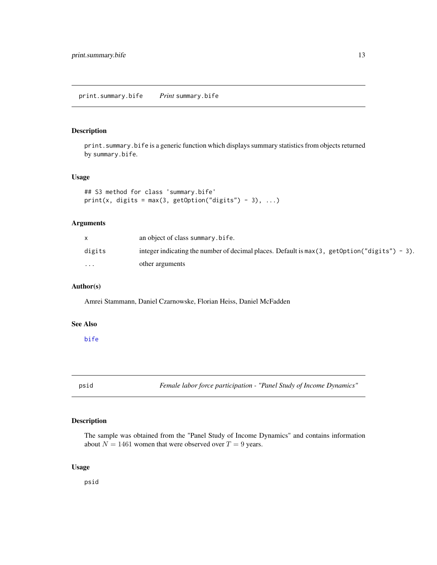<span id="page-12-0"></span>print.summary.bife *Print* summary.bife

# Description

print.summary.bife is a generic function which displays summary statistics from objects returned by summary.bife.

#### Usage

```
## S3 method for class 'summary.bife'
print(x, digits = max(3, getOption("digits") - 3), ...)
```
# Arguments

|                         | an object of class summary.bife.                                                                |
|-------------------------|-------------------------------------------------------------------------------------------------|
| digits                  | integer indicating the number of decimal places. Default is $max(3, getOption("digits") - 3)$ . |
| $\cdot$ $\cdot$ $\cdot$ | other arguments                                                                                 |

## Author(s)

Amrei Stammann, Daniel Czarnowske, Florian Heiss, Daniel McFadden

#### See Also

[bife](#page-5-1)

psid *Female labor force participation - "Panel Study of Income Dynamics"*

# Description

The sample was obtained from the "Panel Study of Income Dynamics" and contains information about  $N = 1461$  women that were observed over  $T = 9$  years.

# Usage

psid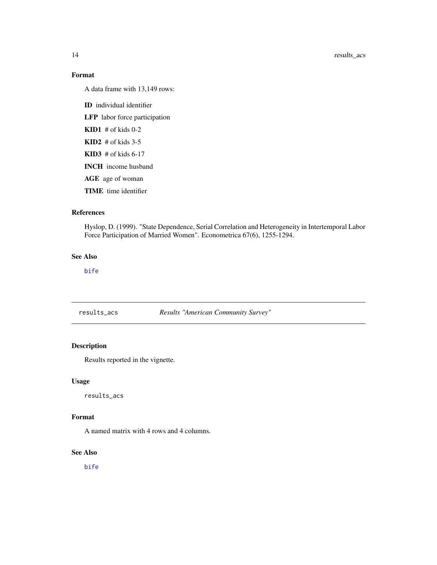# Format

A data frame with 13,149 rows:

ID individual identifier

LFP labor force participation

 $KID1$  # of kids 0-2

 $KID2$  # of kids 3-5

 $KID3$  # of kids 6-17

INCH income husband

AGE age of woman

TIME time identifier

#### References

Hyslop, D. (1999). "State Dependence, Serial Correlation and Heterogeneity in Intertemporal Labor Force Participation of Married Women". Econometrica 67(6), 1255-1294.

# See Also

[bife](#page-5-1)

results\_acs *Results "American Community Survey"*

# Description

Results reported in the vignette.

#### Usage

results\_acs

# Format

A named matrix with 4 rows and 4 columns.

#### See Also

<span id="page-13-0"></span>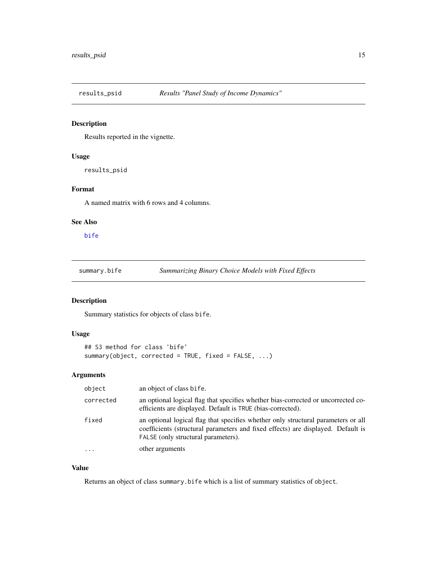<span id="page-14-0"></span>

# Description

Results reported in the vignette.

# Usage

results\_psid

# Format

A named matrix with 6 rows and 4 columns.

# See Also

[bife](#page-5-1)

summary.bife *Summarizing Binary Choice Models with Fixed Effects*

#### Description

Summary statistics for objects of class bife.

# Usage

```
## S3 method for class 'bife'
summary(object, corrected = TRUE, fixed = FALSE, ...)
```
# Arguments

| object    | an object of class bife.                                                                                                                                                                                     |
|-----------|--------------------------------------------------------------------------------------------------------------------------------------------------------------------------------------------------------------|
| corrected | an optional logical flag that specifies whether bias-corrected or uncorrected co-<br>efficients are displayed. Default is TRUE (bias-corrected).                                                             |
| fixed     | an optional logical flag that specifies whether only structural parameters or all<br>coefficients (structural parameters and fixed effects) are displayed. Default is<br>FALSE (only structural parameters). |
| $\ddots$  | other arguments                                                                                                                                                                                              |

# Value

Returns an object of class summary.bife which is a list of summary statistics of object.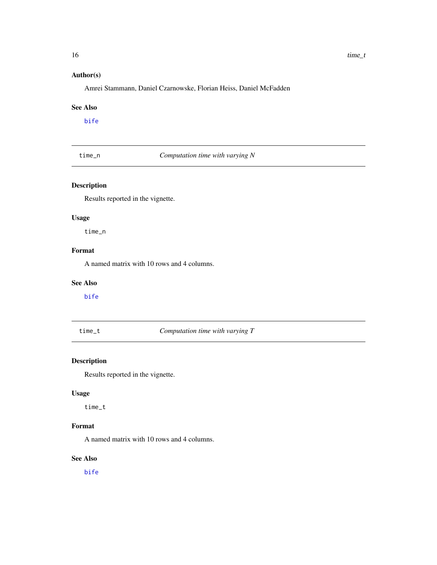# <span id="page-15-0"></span>Author(s)

Amrei Stammann, Daniel Czarnowske, Florian Heiss, Daniel McFadden

#### See Also

[bife](#page-5-1)

time\_n *Computation time with varying N*

# Description

Results reported in the vignette.

# Usage

time\_n

# Format

A named matrix with 10 rows and 4 columns.

# See Also

[bife](#page-5-1)

time\_t *Computation time with varying T*

# Description

Results reported in the vignette.

# Usage

time\_t

# Format

A named matrix with 10 rows and 4 columns.

# See Also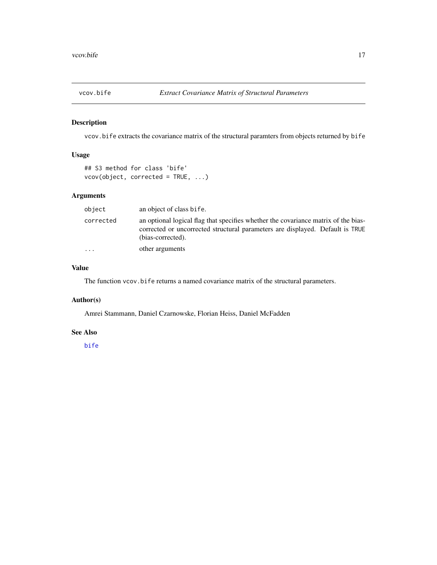<span id="page-16-0"></span>

# Description

vcov.bife extracts the covariance matrix of the structural paramters from objects returned by bife

# Usage

## S3 method for class 'bife' vcov(object, corrected = TRUE, ...)

# Arguments

| object    | an object of class bife.                                                                                                                                                                 |
|-----------|------------------------------------------------------------------------------------------------------------------------------------------------------------------------------------------|
| corrected | an optional logical flag that specifies whether the covariance matrix of the bias-<br>corrected or uncorrected structural parameters are displayed. Default is TRUE<br>(bias-corrected). |
| $\cdots$  | other arguments                                                                                                                                                                          |

#### Value

The function vcov.bife returns a named covariance matrix of the structural parameters.

# Author(s)

Amrei Stammann, Daniel Czarnowske, Florian Heiss, Daniel McFadden

#### See Also